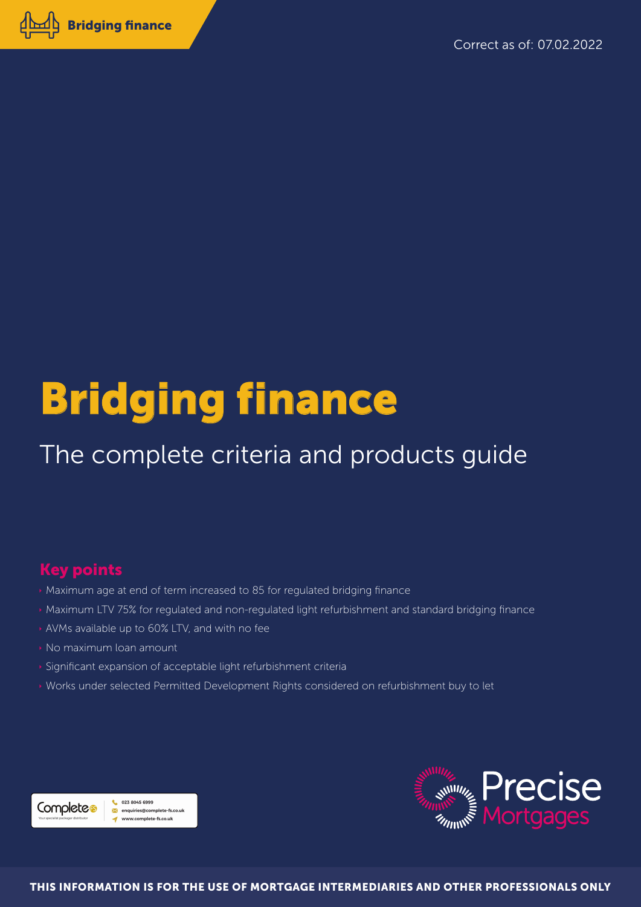

# **Bridging finance**

### The complete criteria and products guide

### **Key points**

- > Maximum age at end of term increased to 85 for regulated bridging finance
- Maximum LTV 75% for regulated and non-regulated light refurbishment and standard bridging finance
- AVMs available up to 60% LTV, and with no fee
- » No maximum loan amount
- > Significant expansion of acceptable light refurbishment criteria
- » Works under selected Permitted Development Rights considered on refurbishment buy to let



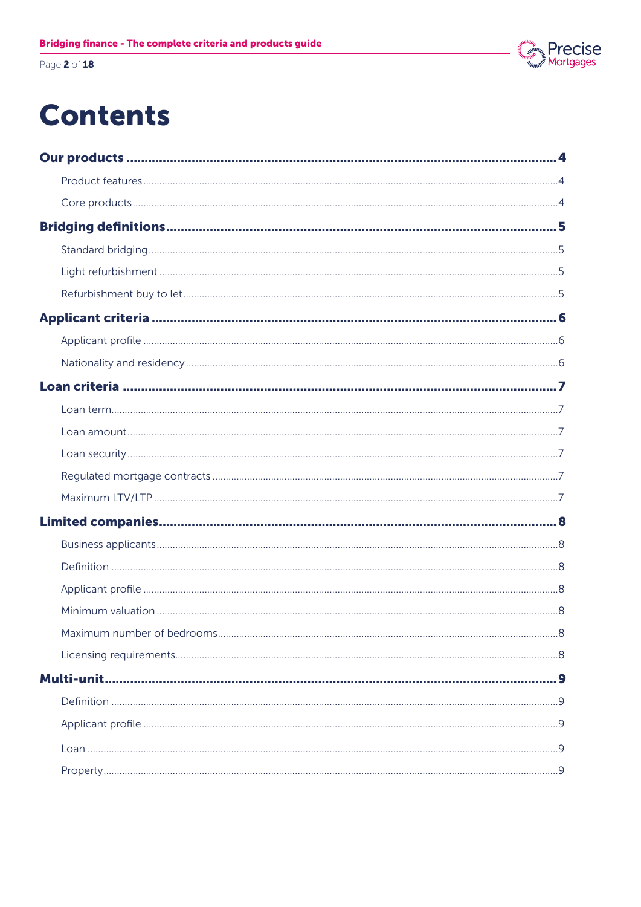Page 2 of 18

### Precise<br>Mortgages

### **Contents**

| 8 |
|---|
|   |
|   |
|   |
|   |
|   |
|   |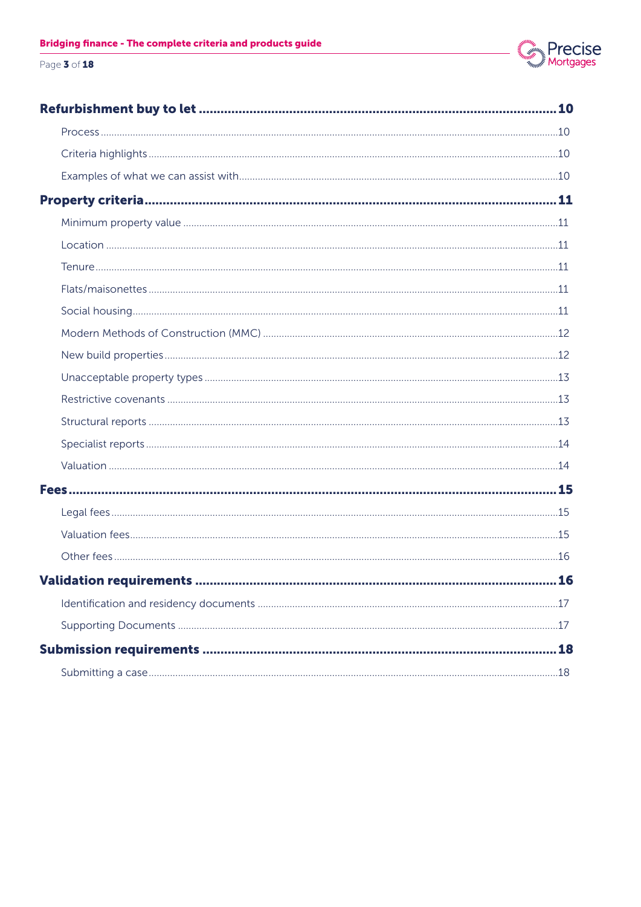

### Page 3 of 18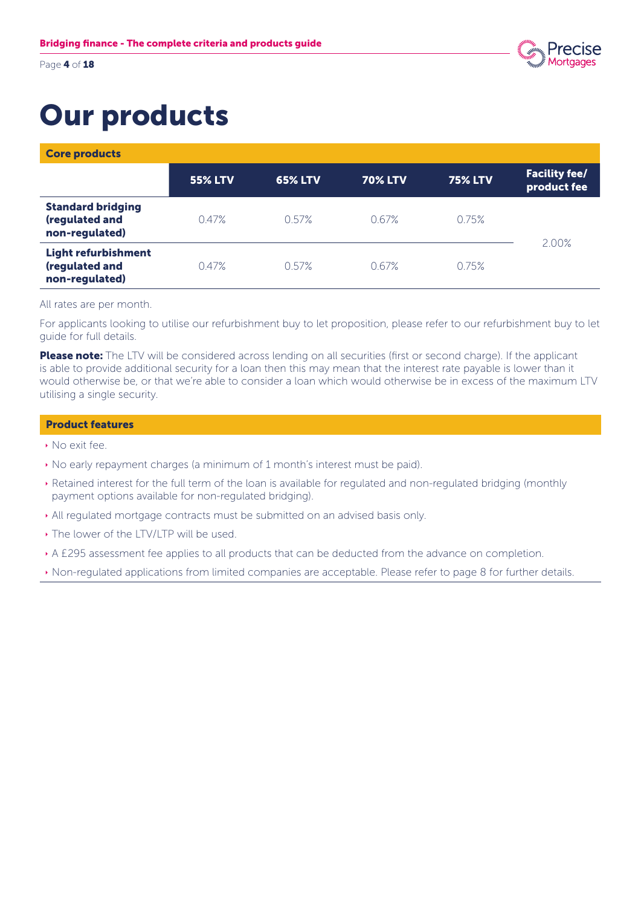Page 4 of 18



### Our products

Core products

|                                                                | <b>55% LTV</b> | <b>65% LTV</b> | <b>70% LTV</b> | <b>75% LTV</b> | <b>Facility fee/</b><br>product fee |
|----------------------------------------------------------------|----------------|----------------|----------------|----------------|-------------------------------------|
| <b>Standard bridging</b><br>(regulated and<br>non-regulated)   | 0.47%          | 0.57%          | 0.67%          | 0.75%          |                                     |
| <b>Light refurbishment</b><br>(regulated and<br>non-regulated) | 0.47%          | 0.57%          | 0.67%          | 0.75%          | 2.00%                               |

### All rates are per month.

For applicants looking to utilise our refurbishment buy to let proposition, please refer to our refurbishment buy to let guide for full details.

Please note: The LTV will be considered across lending on all securities (first or second charge). If the applicant is able to provide additional security for a loan then this may mean that the interest rate payable is lower than it would otherwise be, or that we're able to consider a loan which would otherwise be in excess of the maximum LTV utilising a single security.

### Product features

- **No exit fee.**
- $\cdot$  No early repayment charges (a minimum of 1 month's interest must be paid).
- Ì Retained interest for the full term of the loan is available for regulated and non-regulated bridging (monthly payment options available for non-regulated bridging).
- All regulated mortgage contracts must be submitted on an advised basis only.
- The lower of the LTV/LTP will be used.
- A £295 assessment fee applies to all products that can be deducted from the advance on completion.
- Ì Non-regulated applications from limited companies are acceptable. Please refer to page 8 for further details.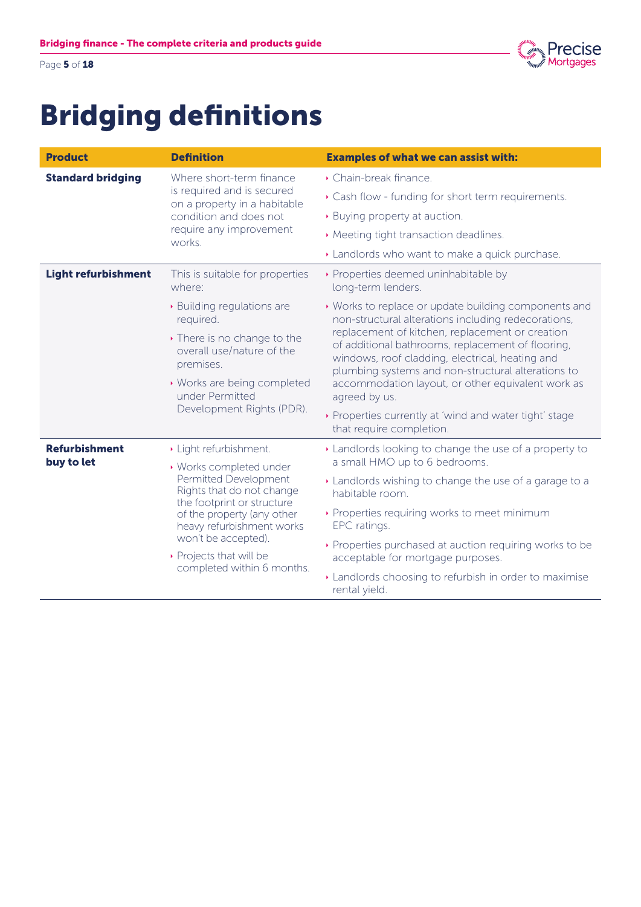

Page 5 of 18

### Bridging definitions

| <b>Product</b>             | <b>Definition</b>                                                                | <b>Examples of what we can assist with:</b>                                                                                                                                                                   |  |
|----------------------------|----------------------------------------------------------------------------------|---------------------------------------------------------------------------------------------------------------------------------------------------------------------------------------------------------------|--|
| <b>Standard bridging</b>   | Where short-term finance<br>is required and is secured                           | Chain-break finance.                                                                                                                                                                                          |  |
|                            | on a property in a habitable                                                     | Cash flow - funding for short term requirements.                                                                                                                                                              |  |
|                            | condition and does not                                                           | ▶ Buying property at auction.                                                                                                                                                                                 |  |
|                            | require any improvement<br>works.                                                | ▶ Meeting tight transaction deadlines.                                                                                                                                                                        |  |
|                            |                                                                                  | Landlords who want to make a quick purchase.                                                                                                                                                                  |  |
| <b>Light refurbishment</b> | This is suitable for properties<br>where:                                        | ▶ Properties deemed uninhabitable by<br>long-term lenders.                                                                                                                                                    |  |
|                            | • Building regulations are<br>required.                                          | ▶ Works to replace or update building components and<br>non-structural alterations including redecorations,                                                                                                   |  |
|                            | • There is no change to the<br>overall use/nature of the<br>premises.            | replacement of kitchen, replacement or creation<br>of additional bathrooms, replacement of flooring,<br>windows, roof cladding, electrical, heating and<br>plumbing systems and non-structural alterations to |  |
|                            | • Works are being completed<br>under Permitted                                   | accommodation layout, or other equivalent work as<br>agreed by us.                                                                                                                                            |  |
|                            | Development Rights (PDR).                                                        | Properties currently at 'wind and water tight' stage<br>that require completion.                                                                                                                              |  |
| <b>Refurbishment</b>       | Light refurbishment.                                                             | Landlords looking to change the use of a property to                                                                                                                                                          |  |
| buy to let                 | • Works completed under                                                          | a small HMO up to 6 bedrooms.                                                                                                                                                                                 |  |
|                            | Permitted Development<br>Rights that do not change<br>the footprint or structure | Landlords wishing to change the use of a garage to a<br>habitable room.                                                                                                                                       |  |
|                            | of the property (any other<br>heavy refurbishment works                          | ▶ Properties requiring works to meet minimum<br>EPC ratings.                                                                                                                                                  |  |
|                            | won't be accepted).<br>▶ Projects that will be<br>completed within 6 months.     | ▶ Properties purchased at auction requiring works to be<br>acceptable for mortgage purposes.                                                                                                                  |  |
|                            |                                                                                  | Landlords choosing to refurbish in order to maximise<br>rental yield.                                                                                                                                         |  |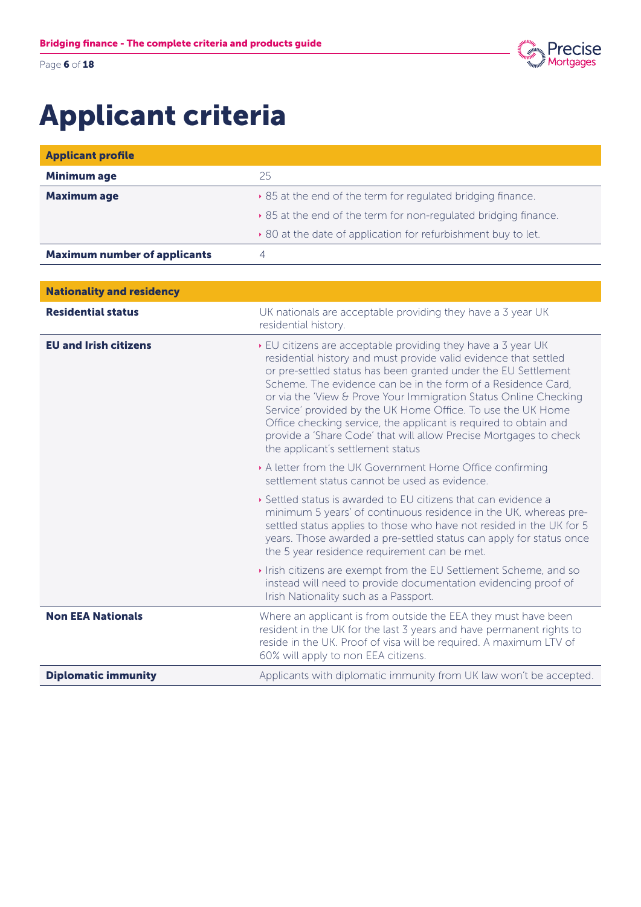Page 6 of 18



### Applicant criteria

| <b>Applicant profile</b>            |                                                                                                                                                                                                                                                                                                                                                                                                                                                                                                                                                                                     |
|-------------------------------------|-------------------------------------------------------------------------------------------------------------------------------------------------------------------------------------------------------------------------------------------------------------------------------------------------------------------------------------------------------------------------------------------------------------------------------------------------------------------------------------------------------------------------------------------------------------------------------------|
| <b>Minimum age</b>                  | 25                                                                                                                                                                                                                                                                                                                                                                                                                                                                                                                                                                                  |
| <b>Maximum age</b>                  | ▶ 85 at the end of the term for regulated bridging finance.                                                                                                                                                                                                                                                                                                                                                                                                                                                                                                                         |
|                                     | ▶ 85 at the end of the term for non-regulated bridging finance.                                                                                                                                                                                                                                                                                                                                                                                                                                                                                                                     |
|                                     | ▶ 80 at the date of application for refurbishment buy to let.                                                                                                                                                                                                                                                                                                                                                                                                                                                                                                                       |
| <b>Maximum number of applicants</b> | $\overline{4}$                                                                                                                                                                                                                                                                                                                                                                                                                                                                                                                                                                      |
|                                     |                                                                                                                                                                                                                                                                                                                                                                                                                                                                                                                                                                                     |
| <b>Nationality and residency</b>    |                                                                                                                                                                                                                                                                                                                                                                                                                                                                                                                                                                                     |
| <b>Residential status</b>           | UK nationals are acceptable providing they have a 3 year UK<br>residential history.                                                                                                                                                                                                                                                                                                                                                                                                                                                                                                 |
| <b>EU and Irish citizens</b>        | ▶ EU citizens are acceptable providing they have a 3 year UK<br>residential history and must provide valid evidence that settled<br>or pre-settled status has been granted under the EU Settlement<br>Scheme. The evidence can be in the form of a Residence Card,<br>or via the 'View & Prove Your Immigration Status Online Checking<br>Service' provided by the UK Home Office. To use the UK Home<br>Office checking service, the applicant is required to obtain and<br>provide a 'Share Code' that will allow Precise Mortgages to check<br>the applicant's settlement status |
|                                     | A letter from the UK Government Home Office confirming<br>settlement status cannot be used as evidence.                                                                                                                                                                                                                                                                                                                                                                                                                                                                             |
|                                     | Settled status is awarded to EU citizens that can evidence a<br>minimum 5 years' of continuous residence in the UK, whereas pre-<br>settled status applies to those who have not resided in the UK for 5<br>years. Those awarded a pre-settled status can apply for status once<br>the 5 year residence requirement can be met.                                                                                                                                                                                                                                                     |
|                                     | Irish citizens are exempt from the EU Settlement Scheme, and so<br>instead will need to provide documentation evidencing proof of<br>Irish Nationality such as a Passport.                                                                                                                                                                                                                                                                                                                                                                                                          |
| <b>Non EEA Nationals</b>            | Where an applicant is from outside the EEA they must have been<br>resident in the UK for the last 3 years and have permanent rights to<br>reside in the UK. Proof of visa will be required. A maximum LTV of<br>60% will apply to non EEA citizens.                                                                                                                                                                                                                                                                                                                                 |
| <b>Diplomatic immunity</b>          | Applicants with diplomatic immunity from UK law won't be accepted.                                                                                                                                                                                                                                                                                                                                                                                                                                                                                                                  |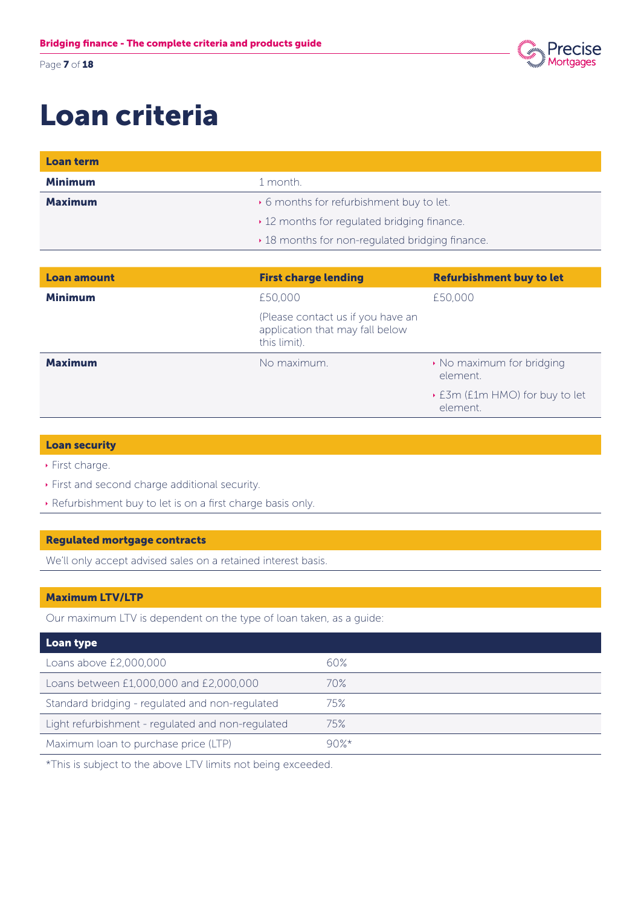Page **7** of **18** 



### Loan criteria

| Loan term          |                                                                                      |                                            |  |
|--------------------|--------------------------------------------------------------------------------------|--------------------------------------------|--|
| <b>Minimum</b>     | 1 month.                                                                             |                                            |  |
| <b>Maximum</b>     | • 6 months for refurbishment buy to let.                                             |                                            |  |
|                    | ▸ 12 months for regulated bridging finance.                                          |                                            |  |
|                    | ▸ 18 months for non-regulated bridging finance.                                      |                                            |  |
|                    |                                                                                      |                                            |  |
| <b>Loan amount</b> | <b>First charge lending</b>                                                          | <b>Refurbishment buy to let</b>            |  |
| <b>Minimum</b>     | £50,000                                                                              | £50,000                                    |  |
|                    | (Please contact us if you have an<br>application that may fall below<br>this limit). |                                            |  |
| <b>Maximum</b>     | No maximum.                                                                          | • No maximum for bridging<br>element.      |  |
|                    |                                                                                      | ▶ E3m (E1m HMO) for buy to let<br>element. |  |

### Loan security

- $\rightarrow$  First charge.
- **First and second charge additional security.**
- **Refurbishment buy to let is on a first charge basis only.**

### Regulated mortgage contracts

We'll only accept advised sales on a retained interest basis.

### Maximum LTV/LTP

Our maximum LTV is dependent on the type of loan taken, as a guide:

| Loan type                                         |      |
|---------------------------------------------------|------|
| Loans above £2,000,000                            | 60%  |
| Loans between £1,000,000 and £2,000,000           | 70%  |
| Standard bridging - regulated and non-regulated   | 75%  |
| Light refurbishment - regulated and non-regulated | 75%  |
| Maximum loan to purchase price (LTP)              | 90%* |

\*This is subject to the above LTV limits not being exceeded.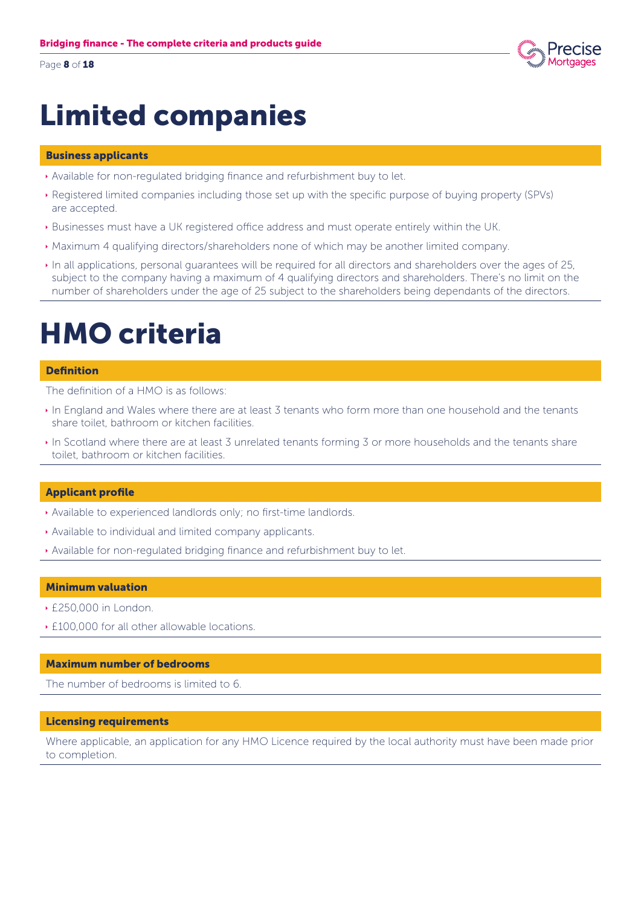Page 8 of 18



### Limited companies

### Business applicants

- Ì Available for non-regulated bridging finance and refurbishment buy to let.
- Ì Registered limited companies including those set up with the specific purpose of buying property (SPVs) are accepted.
- Ì Businesses must have a UK registered office address and must operate entirely within the UK.
- Ì Maximum 4 qualifying directors/shareholders none of which may be another limited company.
- In all applications, personal guarantees will be required for all directors and shareholders over the ages of 25, subject to the company having a maximum of 4 qualifying directors and shareholders. There's no limit on the number of shareholders under the age of 25 subject to the shareholders being dependants of the directors.

### HMO criteria

#### **Definition**

The definition of a HMO is as follows:

- In England and Wales where there are at least 3 tenants who form more than one household and the tenants share toilet, bathroom or kitchen facilities.
- In Scotland where there are at least 3 unrelated tenants forming 3 or more households and the tenants share toilet, bathroom or kitchen facilities.

### Applicant profile

- Available to experienced landlords only; no first-time landlords.
- Available to individual and limited company applicants.
- Ì Available for non-regulated bridging finance and refurbishment buy to let.

### Minimum valuation

- $\cdot$  £250,000 in London.
- **E100,000 for all other allowable locations.**

#### Maximum number of bedrooms

The number of bedrooms is limited to 6.

### Licensing requirements

Where applicable, an application for any HMO Licence required by the local authority must have been made prior to completion.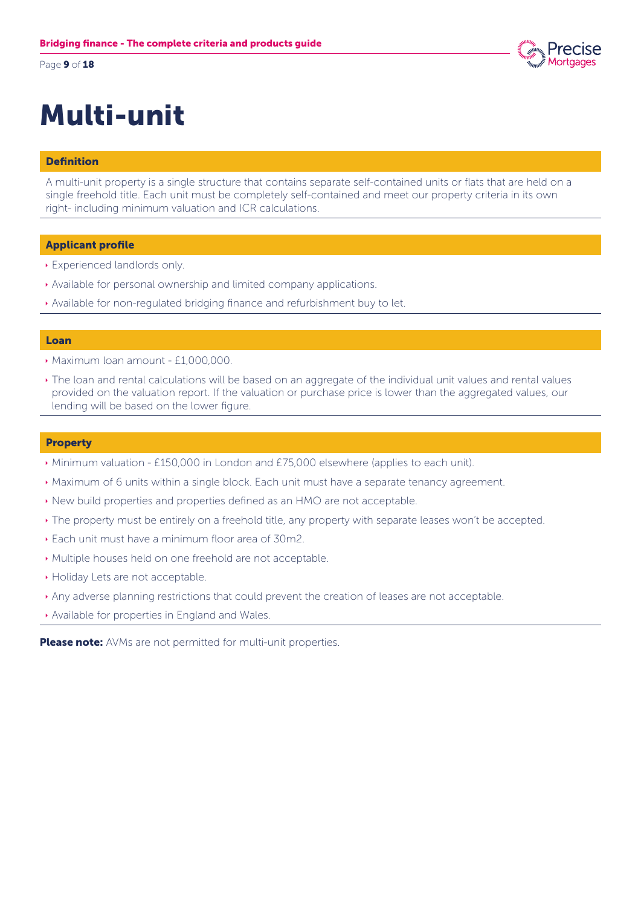Page 9 of 18

## Multi-unit

### Definition

A multi-unit property is a single structure that contains separate self-contained units or flats that are held on a single freehold title. Each unit must be completely self-contained and meet our property criteria in its own right- including minimum valuation and ICR calculations.

### Applicant profile

- **Experienced landlords only.**
- Available for personal ownership and limited company applications.
- Available for non-regulated bridging finance and refurbishment buy to let.

#### Loan

- **Maximum loan amount £1,000,000.**
- In The loan and rental calculations will be based on an aggregate of the individual unit values and rental values provided on the valuation report. If the valuation or purchase price is lower than the aggregated values, our lending will be based on the lower figure.

#### **Property**

- ▶ Minimum valuation £150,000 in London and £75,000 elsewhere (applies to each unit).
- **Maximum of 6 units within a single block. Each unit must have a separate tenancy agreement.**
- $\cdot$  New build properties and properties defined as an HMO are not acceptable.
- $\cdot$  The property must be entirely on a freehold title, any property with separate leases won't be accepted.
- **Each unit must have a minimum floor area of 30m2.**
- Ì Multiple houses held on one freehold are not acceptable.
- **Holiday Lets are not acceptable.**
- Any adverse planning restrictions that could prevent the creation of leases are not acceptable.
- Available for properties in England and Wales.

Please note: AVMs are not permitted for multi-unit properties.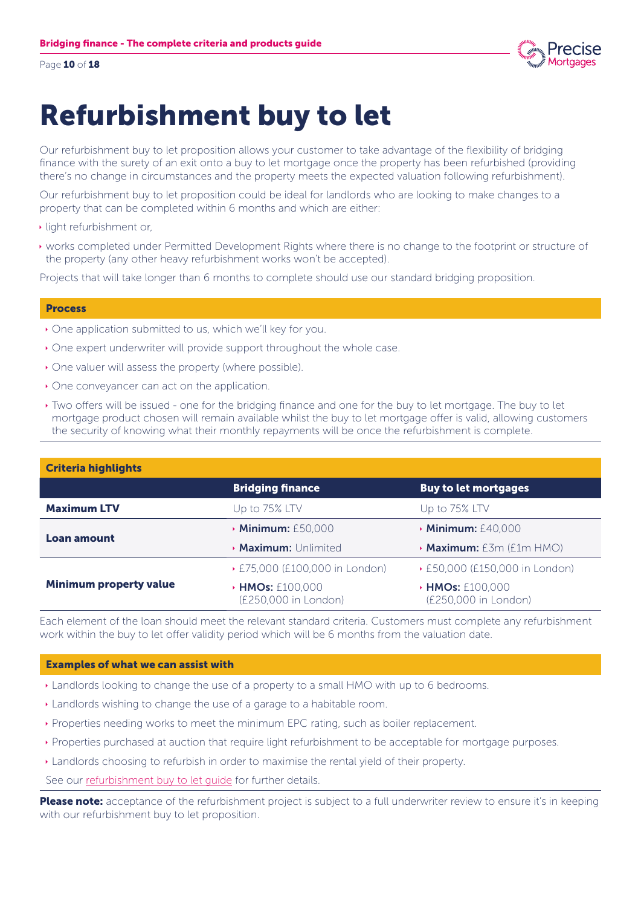Page 10 of 18



### Refurbishment buy to let

Our refurbishment buy to let proposition allows your customer to take advantage of the flexibility of bridging finance with the surety of an exit onto a buy to let mortgage once the property has been refurbished (providing there's no change in circumstances and the property meets the expected valuation following refurbishment).

Our refurbishment buy to let proposition could be ideal for landlords who are looking to make changes to a property that can be completed within 6 months and which are either:

- $\cdot$  light refurbishment or,
- Ì works completed under Permitted Development Rights where there is no change to the footprint or structure of the property (any other heavy refurbishment works won't be accepted).

Projects that will take longer than 6 months to complete should use our standard bridging proposition.

#### Process

- $\rightarrow$  One application submitted to us, which we'll key for you.
- One expert underwriter will provide support throughout the whole case.
- $\rightarrow$  One valuer will assess the property (where possible).
- $\rightarrow$  One conveyancer can act on the application.
- Ì Two offers will be issued one for the bridging finance and one for the buy to let mortgage. The buy to let mortgage product chosen will remain available whilst the buy to let mortgage offer is valid, allowing customers the security of knowing what their monthly repayments will be once the refurbishment is complete.

| <b>Criteria highlights</b>    |                                               |                                               |
|-------------------------------|-----------------------------------------------|-----------------------------------------------|
|                               | <b>Bridging finance</b>                       | <b>Buy to let mortgages</b>                   |
| <b>Maximum LTV</b>            | Up to 75% LTV                                 | Up to 75% LTV                                 |
|                               | <b>Minimum: £50,000</b>                       | $\cdot$ Minimum: £40,000                      |
| Loan amount                   | <b>Maximum:</b> Unlimited                     | <b>Maximum:</b> £3m (£1m HMO)                 |
|                               | ▶ £75,000 (£100,000 in London)                | ▶ £50,000 (£150,000 in London)                |
| <b>Minimum property value</b> | <b>HMOs: £100,000</b><br>(£250,000 in London) | <b>HMOs: £100,000</b><br>(£250,000 in London) |

Each element of the loan should meet the relevant standard criteria. Customers must complete any refurbishment work within the buy to let offer validity period which will be 6 months from the valuation date.

#### Examples of what we can assist with

- **Example 1** Landlords looking to change the use of a property to a small HMO with up to 6 bedrooms.
- **Landlords wishing to change the use of a garage to a habitable room.**
- Ì Properties needing works to meet the minimum EPC rating, such as boiler replacement.
- Ì Properties purchased at auction that require light refurbishment to be acceptable for mortgage purposes.
- Ì Landlords choosing to refurbish in order to maximise the rental yield of their property.

See our refurbishment buy to let guide for further details.

Please note: acceptance of the refurbishment project is subject to a full underwriter review to ensure it's in keeping with our refurbishment buy to let proposition.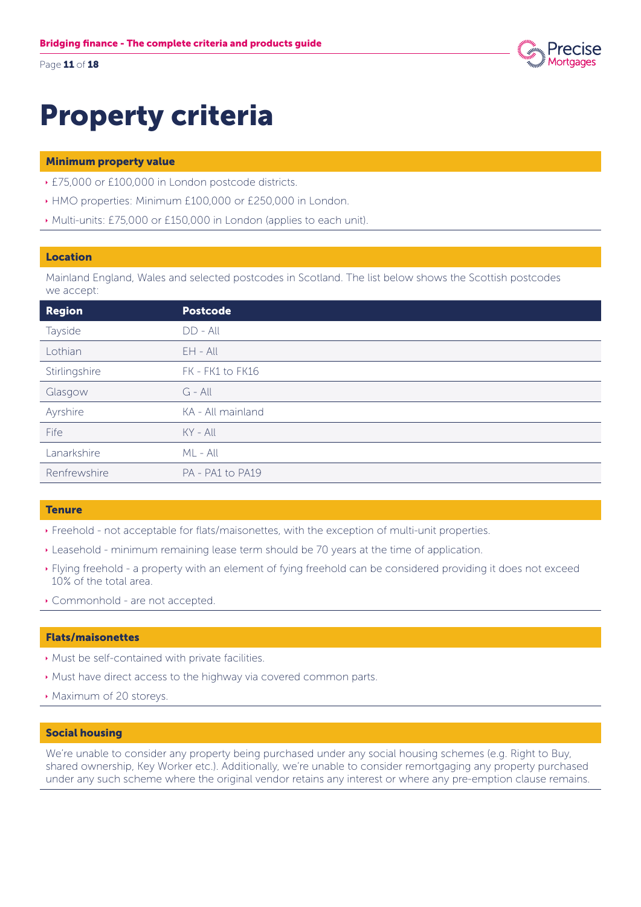Page 11 of 18



## **Property criteria**

### **Minimum property value**

- ▶ £75,000 or £100,000 in London postcode districts.
- HMO properties: Minimum £100,000 or £250,000 in London.
- Multi-units: £75,000 or £150,000 in London (applies to each unit).

### Location

Mainland England, Wales and selected postcodes in Scotland. The list below shows the Scottish postcodes we accept:

| <b>Region</b> | <b>Postcode</b>   |
|---------------|-------------------|
| Tayside       | $DD - All$        |
| Lothian       | $EH - All$        |
| Stirlingshire | FK - FK1 to FK16  |
| Glasgow       | $G - All$         |
| Ayrshire      | KA - All mainland |
| Fife          | $KY - All$        |
| Lanarkshire   | $ML - All$        |
| Renfrewshire  | PA - PA1 to PA19  |

### **Tenure**

- Freehold not acceptable for flats/maisonettes, with the exception of multi-unit properties.
- Leasehold minimum remaining lease term should be 70 years at the time of application.
- ▶ Flying freehold a property with an element of fying freehold can be considered providing it does not exceed 10% of the total area.
- Commonhold are not accepted.

### **Flats/maisonettes**

- Must be self-contained with private facilities.
- Must have direct access to the highway via covered common parts.
- Maximum of 20 storeys.

### **Social housing**

We're unable to consider any property being purchased under any social housing schemes (e.g. Right to Buy, shared ownership, Key Worker etc.). Additionally, we're unable to consider remortgaging any property purchased under any such scheme where the original vendor retains any interest or where any pre-emption clause remains.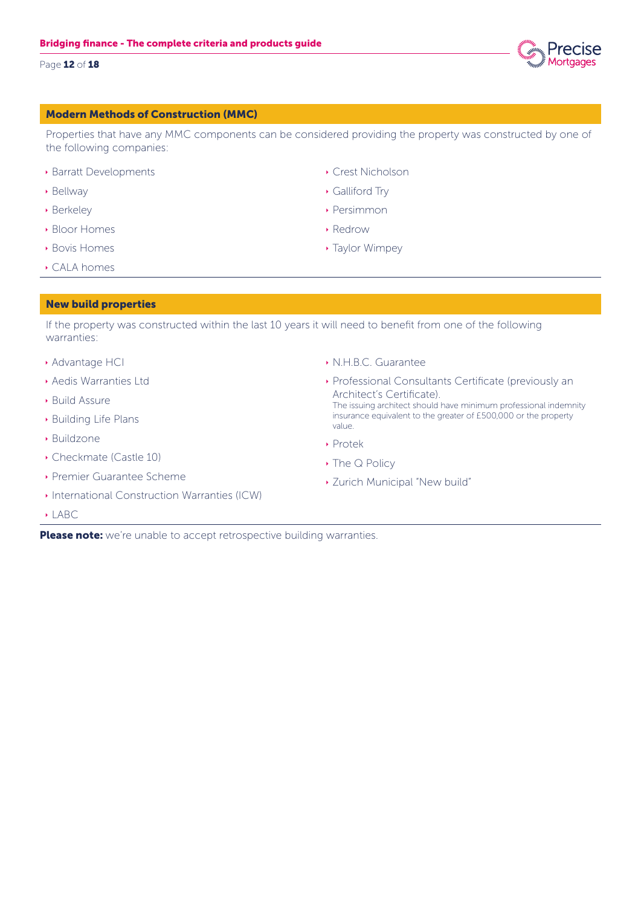### Page 12 of 18

### Modern Methods of Construction (MMC)

Properties that have any MMC components can be considered providing the property was constructed by one of the following companies:

- **Barratt Developments**
- **Bellway**
- **Berkeley**
- **Bloor Homes**
- **Bovis Homes**
- **CALA homes**

### New build properties

If the property was constructed within the last 10 years it will need to benefit from one of the following warranties:

- **Advantage HCI**
- **Aedis Warranties Ltd**
- **Build Assure**
- **Building Life Plans**
- $\rightarrow$  Buildzone
- Checkmate (Castle 10)
- **Premier Guarantee Scheme**
- **International Construction Warranties (ICW)**
- $\rightarrow$  LABC.
- Ì N.H.B.C. Guarantee
- **Professional Consultants Certificate (previously an** Architect's Certificate). The issuing architect should have minimum professional indemnity insurance equivalent to the greater of £500,000 or the property value.
- ▶ Protek
- ▶ The Q Policy
- **EXamich Municipal "New build"**

Please note: we're unable to accept retrospective building warranties.

- **Crest Nicholson**
- $\rightarrow$  Galliford Trv
- **Persimmon**
- $\rightarrow$  Redrow
- **Taylor Wimpey**

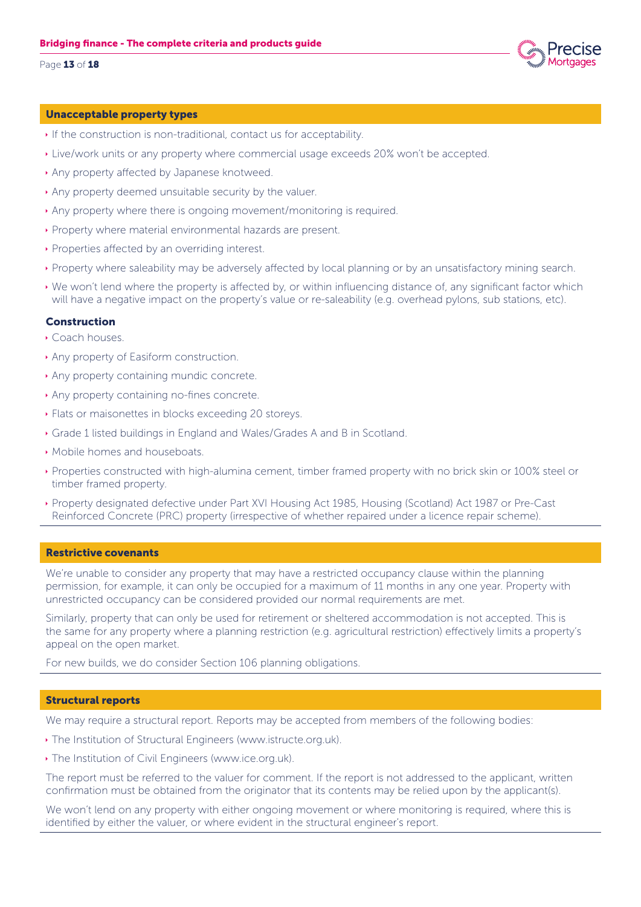#### Page 13 of 18

### Unacceptable property types

- If the construction is non-traditional, contact us for acceptability.
- **Example 20% work units or any property where commercial usage exceeds 20% won't be accepted.**
- **Any property affected by Japanese knotweed.**
- Any property deemed unsuitable security by the valuer.
- Ì Any property where there is ongoing movement/monitoring is required.
- Ì Property where material environmental hazards are present.
- **Properties affected by an overriding interest.**
- Ì Property where saleability may be adversely affected by local planning or by an unsatisfactory mining search.
- Ì We won't lend where the property is affected by, or within influencing distance of, any significant factor which will have a negative impact on the property's value or re-saleability (e.g. overhead pylons, sub stations, etc).

### Construction

- Ì Coach houses.
- $\rightarrow$  Any property of Easiform construction.
- Any property containing mundic concrete.
- Any property containing no-fines concrete.
- **Elats or maisonettes in blocks exceeding 20 storeys.**
- Grade 1 listed buildings in England and Wales/Grades A and B in Scotland.
- **Mobile homes and houseboats.**
- Ì Properties constructed with high-alumina cement, timber framed property with no brick skin or 100% steel or timber framed property.
- Ì Property designated defective under Part XVI Housing Act 1985, Housing (Scotland) Act 1987 or Pre-Cast Reinforced Concrete (PRC) property (irrespective of whether repaired under a licence repair scheme).

### Restrictive covenants

We're unable to consider any property that may have a restricted occupancy clause within the planning permission, for example, it can only be occupied for a maximum of 11 months in any one year. Property with unrestricted occupancy can be considered provided our normal requirements are met.

Similarly, property that can only be used for retirement or sheltered accommodation is not accepted. This is the same for any property where a planning restriction (e.g. agricultural restriction) effectively limits a property's appeal on the open market.

For new builds, we do consider Section 106 planning obligations.

### Structural reports

We may require a structural report. Reports may be accepted from members of the following bodies:

- **The Institution of Structural Engineers (www.istructe.org.uk).**
- **The Institution of Civil Engineers (www.ice.org.uk).**

The report must be referred to the valuer for comment. If the report is not addressed to the applicant, written confirmation must be obtained from the originator that its contents may be relied upon by the applicant(s).

We won't lend on any property with either ongoing movement or where monitoring is required, where this is identified by either the valuer, or where evident in the structural engineer's report.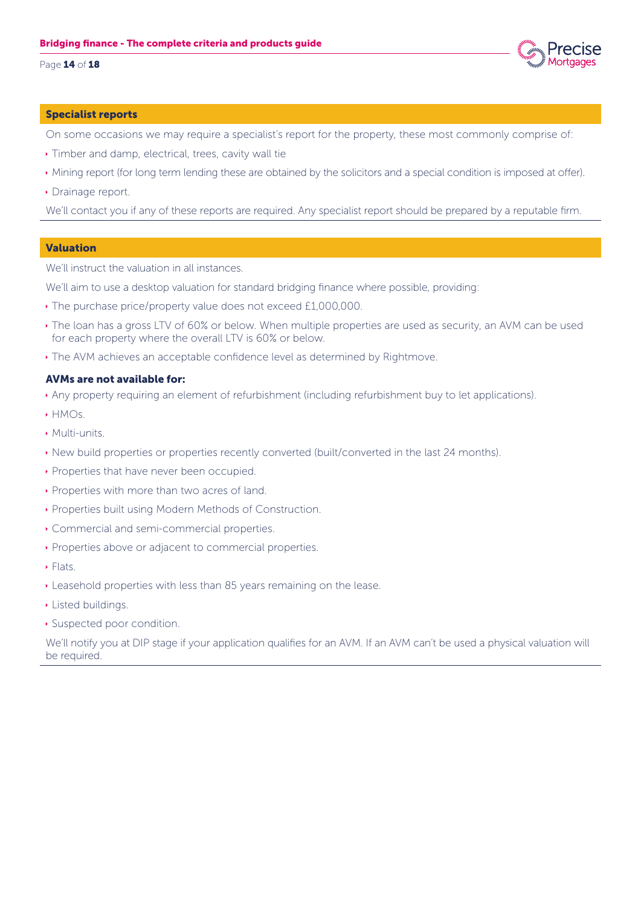Page 14 of 18



#### Specialist reports

On some occasions we may require a specialist's report for the property, these most commonly comprise of:

- $\rightarrow$  Timber and damp, electrical, trees, cavity wall tie
- Ì Mining report (for long term lending these are obtained by the solicitors and a special condition is imposed at offer).
- Drainage report.

We'll contact you if any of these reports are required. Any specialist report should be prepared by a reputable firm.

#### Valuation

We'll instruct the valuation in all instances.

We'll aim to use a desktop valuation for standard bridging finance where possible, providing:

- $\cdot$  The purchase price/property value does not exceed £1,000,000.
- $\cdot$  The loan has a gross LTV of 60% or below. When multiple properties are used as security, an AVM can be used for each property where the overall LTV is 60% or below.
- $\cdot$  The AVM achieves an acceptable confidence level as determined by Rightmove.

#### AVMs are not available for:

- Ì Any property requiring an element of refurbishment (including refurbishment buy to let applications).
- $\rightarrow$  HMOs.
- $\blacktriangleright$  Multi-units.
- Ì New build properties or properties recently converted (built/converted in the last 24 months).
- **Properties that have never been occupied.**
- **Properties with more than two acres of land.**
- **Properties built using Modern Methods of Construction.**
- **Commercial and semi-commercial properties.**
- **Properties above or adjacent to commercial properties.**
- $\blacktriangleright$  Flats.
- **E** Leasehold properties with less than 85 years remaining on the lease.
- $\blacktriangleright$  Listed buildings.
- **Suspected poor condition.**

We'll notify you at DIP stage if your application qualifies for an AVM. If an AVM can't be used a physical valuation will be required.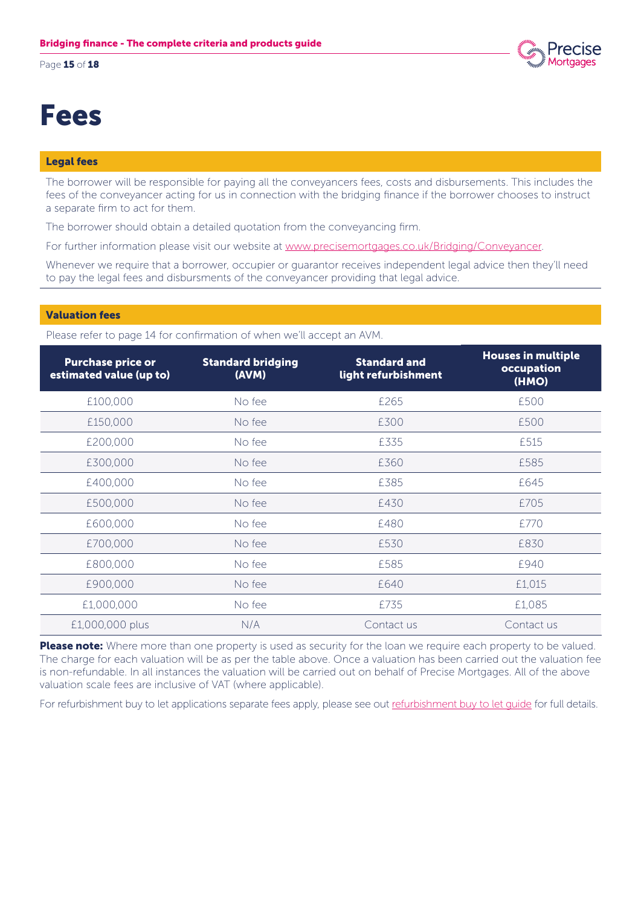Page 15 of 18



### Fees

### Legal fees

The borrower will be responsible for paying all the conveyancers fees, costs and disbursements. This includes the fees of the conveyancer acting for us in connection with the bridging finance if the borrower chooses to instruct a separate firm to act for them.

The borrower should obtain a detailed quotation from the conveyancing firm.

For further information please visit our website at www.precisemortgages.co.uk/Bridging/Conveyancer.

Whenever we require that a borrower, occupier or guarantor receives independent legal advice then they'll need to pay the legal fees and disbursments of the conveyancer providing that legal advice.

### Valuation fees

Please refer to page 14 for confirmation of when we'll accept an AVM.

| <b>Purchase price or</b><br>estimated value (up to) | <b>Standard bridging</b><br>(AVM) | <b>Standard and</b><br>light refurbishment | <b>Houses in multiple</b><br>occupation<br>(HMO) |
|-----------------------------------------------------|-----------------------------------|--------------------------------------------|--------------------------------------------------|
| £100,000                                            | No fee                            | £265                                       | £500                                             |
| £150,000                                            | No fee                            | £300                                       | £500                                             |
| £200,000                                            | No fee                            | £335                                       | £515                                             |
| £300,000                                            | No fee                            | £360                                       | £585                                             |
| £400,000                                            | No fee                            | £385                                       | £645                                             |
| £500,000                                            | No fee                            | £430                                       | £705                                             |
| £600,000                                            | No fee                            | £480                                       | £770                                             |
| £700,000                                            | No fee                            | £530                                       | £830                                             |
| £800,000                                            | No fee                            | £585                                       | £940                                             |
| £900,000                                            | No fee                            | £640                                       | £1,015                                           |
| £1,000,000                                          | No fee                            | £735                                       | £1,085                                           |
| £1,000,000 plus                                     | N/A                               | Contact us                                 | Contact us                                       |

Please note: Where more than one property is used as security for the loan we require each property to be valued. The charge for each valuation will be as per the table above. Once a valuation has been carried out the valuation fee is non-refundable. In all instances the valuation will be carried out on behalf of Precise Mortgages. All of the above valuation scale fees are inclusive of VAT (where applicable).

For refurbishment buy to let applications separate fees apply, please see out refurbishment buy to let quide for full details.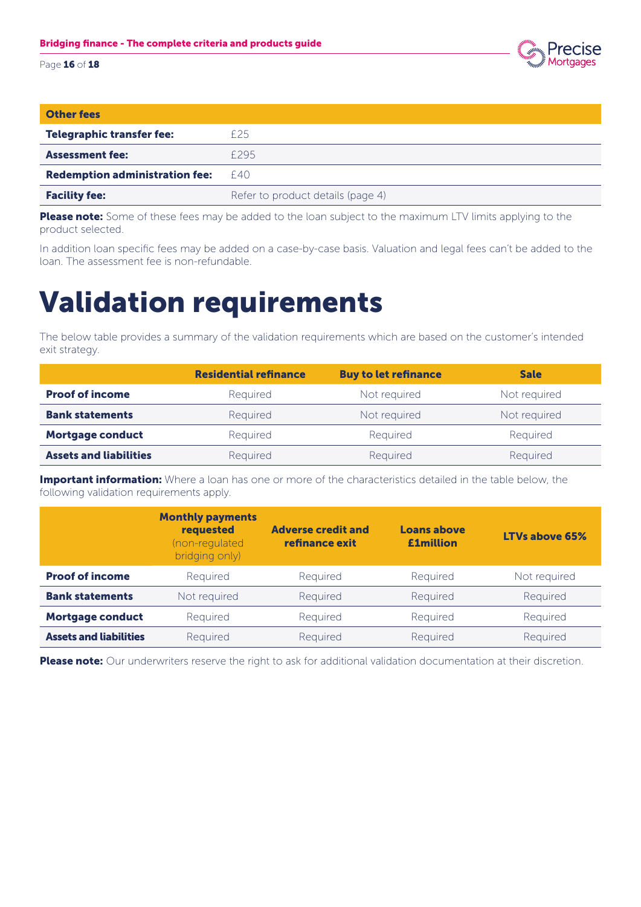

| <b>Other fees</b>                     |                                   |
|---------------------------------------|-----------------------------------|
| <b>Telegraphic transfer fee:</b>      | £25                               |
| <b>Assessment fee:</b>                | F295                              |
| <b>Redemption administration fee:</b> | F40                               |
| <b>Facility fee:</b>                  | Refer to product details (page 4) |

Please note: Some of these fees may be added to the loan subject to the maximum LTV limits applying to the product selected.

In addition loan specific fees may be added on a case-by-case basis. Valuation and legal fees can't be added to the loan. The assessment fee is non-refundable.

### Validation requirements

The below table provides a summary of the validation requirements which are based on the customer's intended exit strategy.

|                               | <b>Residential refinance</b> | <b>Buy to let refinance</b> | <b>Sale</b>  |
|-------------------------------|------------------------------|-----------------------------|--------------|
| <b>Proof of income</b>        | Required                     | Not required                | Not required |
| <b>Bank statements</b>        | Required                     | Not required                | Not required |
| <b>Mortgage conduct</b>       | Required                     | Required                    | Required     |
| <b>Assets and liabilities</b> | Required                     | Required                    | Required     |

**Important information:** Where a loan has one or more of the characteristics detailed in the table below, the following validation requirements apply.

|                               | <b>Monthly payments</b><br>requested<br>(non-regulated<br>bridging only) | <b>Adverse credit and</b><br>refinance exit | <b>Loans above</b><br><b>£1million</b> | <b>LTVs above 65%</b> |
|-------------------------------|--------------------------------------------------------------------------|---------------------------------------------|----------------------------------------|-----------------------|
| <b>Proof of income</b>        | Required                                                                 | Required                                    | Required                               | Not required          |
| <b>Bank statements</b>        | Not required                                                             | Required                                    | Required                               | Required              |
| <b>Mortgage conduct</b>       | Required                                                                 | Required                                    | Required                               | Required              |
| <b>Assets and liabilities</b> | Required                                                                 | Required                                    | Required                               | Required              |

Please note: Our underwriters reserve the right to ask for additional validation documentation at their discretion.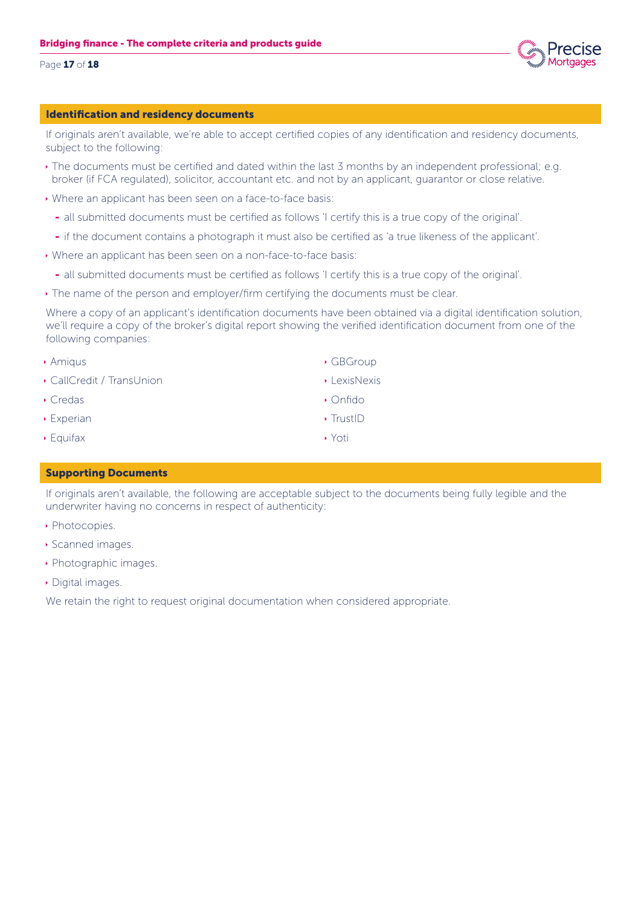

### Page 17 of 18

### Identification and residency documents

If originals aren't available, we're able to accept certified copies of any identification and residency documents, subject to the following:

- $\cdot$  The documents must be certified and dated within the last 3 months by an independent professional; e.g. broker (if FCA regulated), solicitor, accountant etc. and not by an applicant, guarantor or close relative.
- $\rightarrow$  Where an applicant has been seen on a face-to-face basis:
	- all submitted documents must be certified as follows 'I certify this is a true copy of the original'.
	- if the document contains a photograph it must also be certified as 'a true likeness of the applicant'.
- $\rightarrow$  Where an applicant has been seen on a non-face-to-face basis:
	- all submitted documents must be certified as follows 'I certify this is a true copy of the original'.
- $\cdot$  The name of the person and employer/firm certifying the documents must be clear.

Where a copy of an applicant's identification documents have been obtained via a digital identification solution, we'll require a copy of the broker's digital report showing the verified identification document from one of the following companies:

- $\rightarrow$  Amigus
- **CallCredit / TransUnion**
- $\cdot$  Credas
- $\rightarrow$  Experian
- $\rightarrow$  Equifax

### Supporting Documents

If originals aren't available, the following are acceptable subject to the documents being fully legible and the underwriter having no concerns in respect of authenticity:

- Photocopies.
- **Scanned images.**
- **Photographic images.**
- Digital images.

We retain the right to request original documentation when considered appropriate.

- $\cdot$  GBGroup
- $\blacktriangleright$  LexisNexis
- Ì Onfido
- $\rightarrow$  TrustID
- ▶ Yoti